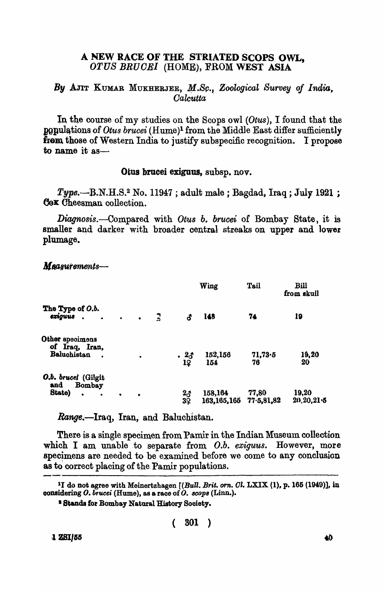## A NEW RACE OF THE STRIATED SCOPS OWL, OTUS BRUOE] (HOME), FROM WEST ASIA

## By AJIT KUMAR MUKHERJEE, M.Sc., Zoological Survey of India, *Oalcutta*

In the course of my studies on the Scops owl *(Otus)*, I found that the **populations of** *Otus brucei* (Hume)<sup>1</sup> from the Middle East differ sufficiently from those of Western India to justify subspecific recognition. I propose to name it as-

## OtU8 brucei exiguus, subsp. nov.

 $Type. - B.N.H.S.<sup>2</sup> No. 11947$ ; adult male; Bagdad, Iraq; July 1921; Gox Cheesman collection.

*Diagnosis.-Compared* with *OtU8 b. brucei* of Bombay State, it is smaller and darker with broader central streaks on upper and lower plumage.

| The Type of O.b.<br>exiguus.                                             |                                 |           | $\mathbf{r}$ | Wing                  |                        | <b>Tail</b>         | Bill<br>from skull    |
|--------------------------------------------------------------------------|---------------------------------|-----------|--------------|-----------------------|------------------------|---------------------|-----------------------|
|                                                                          | $\bullet \qquad \qquad \bullet$ |           |              | ර                     | 148                    | 74                  | 19                    |
| Other specimens<br>of Iraq, Iran,<br>Baluchistan                         |                                 |           |              | $\cdot \frac{23}{12}$ | 152,156<br>154         | 71,73.5<br>76       | 19,20<br>20           |
| O.b. brucei (Gilgit<br>Bombay<br>and<br>State)<br>$\bullet$<br>$\bullet$ | ٠                               | $\bullet$ |              | $\frac{23}{3}$        | 158,164<br>163,165,165 | 77,80<br>77.5,81,82 | 19,20<br>20, 20, 21.5 |

Measurements-

Range.-Iraq, Iran, and Baluchistan.

There is a single specimen from Pamir in the Indian Museum collection which I am unable to separate from O.b. *exiguus*. However, more specimens are needed to be examined before we come to any conclusion as to correct placing of the Pamir populations.

( 301 )

**1 ZSI/55** 

<sup>&</sup>lt;sup>1</sup>I do not agree with Meinertzhagen  $[(Bull, Brit, orn. \, Cl. LXIX (1), p. 165 (1949)],$  in oonsidering O. bt'ucei (Rume), as a race of O. *8COpB* (Linn.).

<sup>&</sup>lt;sup>2</sup> Stands for Bombay Natural History Society.